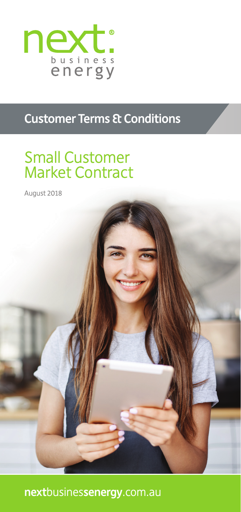

# **Customer Terms & Conditions**

# Small Customer Market Contract

August 2018

**next**busines**senergy**.com.au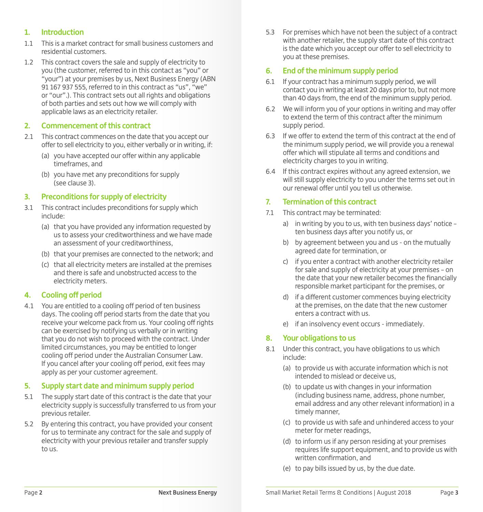# **1. Introduction**

- 1.1 This is a market contract for small business customers and residential customers.
- 1.2 This contract covers the sale and supply of electricity to you (the customer, referred to in this contact as "you" or "your") at your premises by us, Next Business Energy (ABN 91 167 937 555, referred to in this contract as "us", "we" or "our".). This contract sets out all rights and obligations of both parties and sets out how we will comply with applicable laws as an electricity retailer.

## **2. Commencement of this contract**

- 2.1 This contract commences on the date that you accept our offer to sell electricity to you, either verbally or in writing, if:
	- (a) you have accepted our offer within any applicable timeframes, and
	- (b) you have met any preconditions for supply (see clause 3).

## **3. Preconditions for supply of electricity**

- 3.1 This contract includes preconditions for supply which include:
	- (a) that you have provided any information requested by us to assess your creditworthiness and we have made an assessment of your creditworthiness,
	- (b) that your premises are connected to the network; and
	- (c) that all electricity meters are installed at the premises and there is safe and unobstructed access to the electricity meters.

# **4. Cooling off period**

4.1 You are entitled to a cooling off period of ten business days. The cooling off period starts from the date that you receive your welcome pack from us. Your cooling off rights can be exercised by notifying us verbally or in writing that you do not wish to proceed with the contract. Under limited circumstances, you may be entitled to longer cooling off period under the Australian Consumer Law. If you cancel after your cooling off period, exit fees may apply as per your customer agreement.

#### **5. Supply start date and minimum supply period**

- 5.1 The supply start date of this contract is the date that your electricity supply is successfully transferred to us from your previous retailer.
- 5.2 By entering this contract, you have provided your consent for us to terminate any contract for the sale and supply of electricity with your previous retailer and transfer supply to us.

5.3 For premises which have not been the subject of a contract with another retailer, the supply start date of this contract is the date which you accept our offer to sell electricity to you at these premises.

# **6. End of the minimum supply period**

- 6.1 If your contract has a minimum supply period, we will contact you in writing at least 20 days prior to, but not more than 40 days from, the end of the minimum supply period.
- 6.2 We will inform you of your options in writing and may offer to extend the term of this contract after the minimum supply period.
- 6.3 If we offer to extend the term of this contract at the end of the minimum supply period, we will provide you a renewal offer which will stipulate all terms and conditions and electricity charges to you in writing.
- 6.4 If this contract expires without any agreed extension, we will still supply electricity to you under the terms set out in our renewal offer until you tell us otherwise.

# **7. Termination of this contract**

- 7.1 This contract may be terminated:
	- a) in writing by you to us, with ten business days' notice ten business days after you notify us, or
	- b) by agreement between you and us on the mutually agreed date for termination, or
	- c) if you enter a contract with another electricity retailer for sale and supply of electricity at your premises – on the date that your new retailer becomes the financially responsible market participant for the premises, or
	- d) if a different customer commences buying electricity at the premises, on the date that the new customer enters a contract with us.
	- e) if an insolvency event occurs immediately.

# **8. Your obligations to us**

- 8.1 Under this contract, you have obligations to us which include:
	- (a) to provide us with accurate information which is not intended to mislead or deceive us,
	- (b) to update us with changes in your information (including business name, address, phone number, email address and any other relevant information) in a timely manner,
	- (c) to provide us with safe and unhindered access to your meter for meter readings,
	- (d) to inform us if any person residing at your premises requires life support equipment, and to provide us with written confirmation, and
	- (e) to pay bills issued by us, by the due date.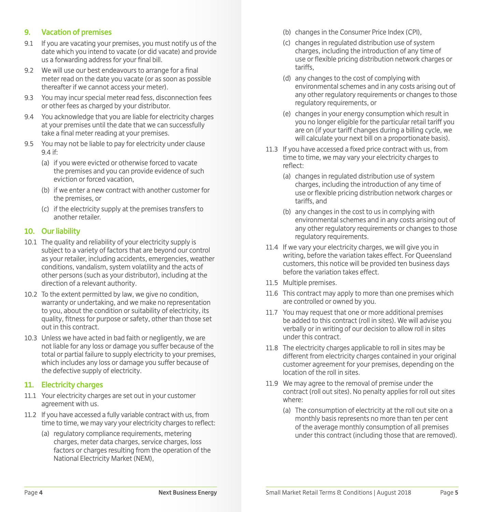# **9. Vacation of premises**

- 9.1 If you are vacating your premises, you must notify us of the date which you intend to vacate (or did vacate) and provide us a forwarding address for your final bill.
- 9.2 We will use our best endeavours to arrange for a final meter read on the date you vacate (or as soon as possible thereafter if we cannot access your meter).
- 9.3 You may incur special meter read fess, disconnection fees or other fees as charged by your distributor.
- 9.4 You acknowledge that you are liable for electricity charges at your premises until the date that we can successfully take a final meter reading at your premises.
- 9.5 You may not be liable to pay for electricity under clause  $9.4$  if:
	- (a) if you were evicted or otherwise forced to vacate the premises and you can provide evidence of such eviction or forced vacation,
	- (b) if we enter a new contract with another customer for the premises, or
	- (c) if the electricity supply at the premises transfers to another retailer.

#### **10. Our liability**

- 10.1 The quality and reliability of your electricity supply is subject to a variety of factors that are beyond our control as your retailer, including accidents, emergencies, weather conditions, vandalism, system volatility and the acts of other persons (such as your distributor), including at the direction of a relevant authority.
- 10.2 To the extent permitted by law, we give no condition, warranty or undertaking, and we make no representation to you, about the condition or suitability of electricity, its quality, fitness for purpose or safety, other than those set out in this contract.
- 10.3 Unless we have acted in bad faith or negligently, we are not liable for any loss or damage you suffer because of the total or partial failure to supply electricity to your premises, which includes any loss or damage you suffer because of the defective supply of electricity.

#### **11. Electricity charges**

- 11.1 Your electricity charges are set out in your customer agreement with us.
- 11.2 If you have accessed a fully variable contract with us, from time to time, we may vary your electricity charges to reflect:
	- (a) regulatory compliance requirements, metering charges, meter data charges, service charges, loss factors or charges resulting from the operation of the National Electricity Market (NEM),
- (b) changes in the Consumer Price Index (CPI),
- (c) changes in regulated distribution use of system charges, including the introduction of any time of use or flexible pricing distribution network charges or tariffs,
- (d) any changes to the cost of complying with environmental schemes and in any costs arising out of any other regulatory requirements or changes to those regulatory requirements, or
- (e) changes in your energy consumption which result in you no longer eligible for the particular retail tariff you are on (if your tariff changes during a billing cycle, we will calculate your next bill on a proportionate basis).
- 11.3 If you have accessed a fixed price contract with us, from time to time, we may vary your electricity charges to reflect:
	- (a) changes in regulated distribution use of system charges, including the introduction of any time of use or flexible pricing distribution network charges or tariffs, and
	- (b) any changes in the cost to us in complying with environmental schemes and in any costs arising out of any other regulatory requirements or changes to those regulatory requirements.
- 11.4 If we vary your electricity charges, we will give you in writing, before the variation takes effect. For Queensland customers, this notice will be provided ten business days before the variation takes effect.
- 11.5 Multiple premises.
- 11.6 This contract may apply to more than one premises which are controlled or owned by you.
- 11.7 You may request that one or more additional premises be added to this contract (roll in sites). We will advise you verbally or in writing of our decision to allow roll in sites under this contract.
- 11.8 The electricity charges applicable to roll in sites may be different from electricity charges contained in your original customer agreement for your premises, depending on the location of the roll in sites.
- 11.9 We may agree to the removal of premise under the contract (roll out sites). No penalty applies for roll out sites where:
	- (a) The consumption of electricity at the roll out site on a monthly basis represents no more than ten per cent of the average monthly consumption of all premises under this contract (including those that are removed).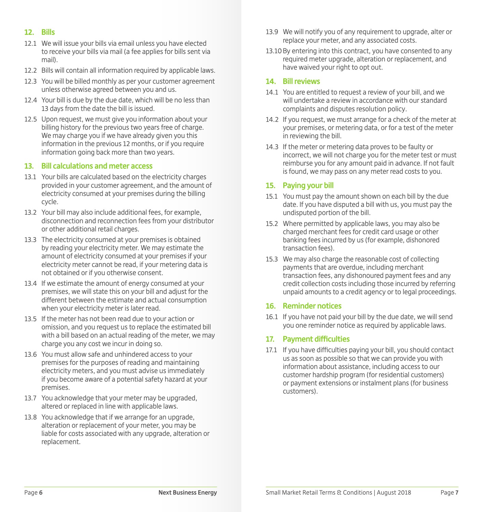#### **12. Bills**

- 12.1 We will issue your bills via email unless you have elected to receive your bills via mail (a fee applies for bills sent via mail).
- 12.2 Bills will contain all information required by applicable laws.
- 12.3 You will be billed monthly as per your customer agreement unless otherwise agreed between you and us.
- 12.4 Your bill is due by the due date, which will be no less than 13 days from the date the bill is issued.
- 12.5 Upon request, we must give you information about your billing history for the previous two years free of charge. We may charge you if we have already given you this information in the previous 12 months, or if you require information going back more than two years.

#### **13. Bill calculations and meter access**

- 13.1 Your bills are calculated based on the electricity charges provided in your customer agreement, and the amount of electricity consumed at your premises during the billing cycle.
- 13.2 Your bill may also include additional fees, for example, disconnection and reconnection fees from your distributor or other additional retail charges.
- 13.3 The electricity consumed at your premises is obtained by reading your electricity meter. We may estimate the amount of electricity consumed at your premises if your electricity meter cannot be read, if your metering data is not obtained or if you otherwise consent.
- 13.4 If we estimate the amount of energy consumed at your premises, we will state this on your bill and adjust for the different between the estimate and actual consumption when your electricity meter is later read.
- 13.5 If the meter has not been read due to your action or omission, and you request us to replace the estimated bill with a bill based on an actual reading of the meter, we may charge you any cost we incur in doing so.
- 13.6 You must allow safe and unhindered access to your premises for the purposes of reading and maintaining electricity meters, and you must advise us immediately if you become aware of a potential safety hazard at your premises.
- 13.7 You acknowledge that your meter may be upgraded, altered or replaced in line with applicable laws.
- 13.8 You acknowledge that if we arrange for an upgrade, alteration or replacement of your meter, you may be liable for costs associated with any upgrade, alteration or replacement.
- 13.9 We will notify you of any requirement to upgrade, alter or replace your meter, and any associated costs.
- 13.10By entering into this contract, you have consented to any required meter upgrade, alteration or replacement, and have waived your right to opt out.

#### **14. Bill reviews**

- 14.1 You are entitled to request a review of your bill, and we will undertake a review in accordance with our standard complaints and disputes resolution policy.
- 14.2 If you request, we must arrange for a check of the meter at your premises, or metering data, or for a test of the meter in reviewing the bill.
- 14.3 If the meter or metering data proves to be faulty or incorrect, we will not charge you for the meter test or must reimburse you for any amount paid in advance. If not fault is found, we may pass on any meter read costs to you.

#### **15. Paying your bill**

- 15.1 You must pay the amount shown on each bill by the due date. If you have disputed a bill with us, you must pay the undisputed portion of the bill.
- 15.2 Where permitted by applicable laws, you may also be charged merchant fees for credit card usage or other banking fees incurred by us (for example, dishonored transaction fees).
- 15.3 We may also charge the reasonable cost of collecting payments that are overdue, including merchant transaction fees, any dishonoured payment fees and any credit collection costs including those incurred by referring unpaid amounts to a credit agency or to legal proceedings.

#### **16. Reminder notices**

16.1 If you have not paid your bill by the due date, we will send you one reminder notice as required by applicable laws.

# **17. Payment difficulties**

17.1 If you have difficulties paying your bill, you should contact us as soon as possible so that we can provide you with information about assistance, including access to our customer hardship program (for residential customers) or payment extensions or instalment plans (for business customers).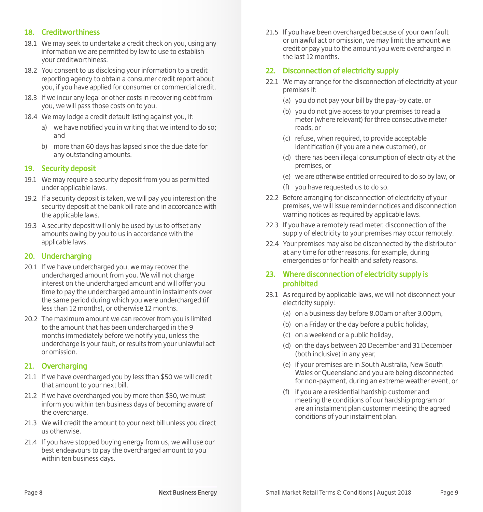# **18. Creditworthiness**

- 18.1 We may seek to undertake a credit check on you, using any information we are permitted by law to use to establish your creditworthiness.
- 18.2 You consent to us disclosing your information to a credit reporting agency to obtain a consumer credit report about you, if you have applied for consumer or commercial credit.
- 18.3 If we incur any legal or other costs in recovering debt from you, we will pass those costs on to you.
- 18.4 We may lodge a credit default listing against you, if:
	- a) we have notified you in writing that we intend to do so; and
	- b) more than 60 days has lapsed since the due date for any outstanding amounts.

#### **19. Security deposit**

- 19.1 We may require a security deposit from you as permitted under applicable laws.
- 19.2 If a security deposit is taken, we will pay you interest on the security deposit at the bank bill rate and in accordance with the applicable laws.
- 19.3 A security deposit will only be used by us to offset any amounts owing by you to us in accordance with the applicable laws.

# **20. Undercharging**

- 20.1 If we have undercharged you, we may recover the undercharged amount from you. We will not charge interest on the undercharged amount and will offer you time to pay the undercharged amount in instalments over the same period during which you were undercharged (if less than 12 months), or otherwise 12 months.
- 20.2 The maximum amount we can recover from you is limited to the amount that has been undercharged in the 9 months immediately before we notify you, unless the undercharge is your fault, or results from your unlawful act or omission.

#### **21. Overcharging**

- 21.1 If we have overcharged you by less than \$50 we will credit that amount to your next bill.
- 21.2 If we have overcharged you by more than \$50, we must inform you within ten business days of becoming aware of the overcharge.
- 21.3 We will credit the amount to your next bill unless you direct us otherwise.
- 21.4 If you have stopped buying energy from us, we will use our best endeavours to pay the overcharged amount to you within ten business days.

21.5 If you have been overcharged because of your own fault or unlawful act or omission, we may limit the amount we credit or pay you to the amount you were overcharged in the last 12 months.

# **22. Disconnection of electricity supply**

- 22.1 We may arrange for the disconnection of electricity at your premises if:
	- (a) you do not pay your bill by the pay-by date, or
	- (b) you do not give access to your premises to read a meter (where relevant) for three consecutive meter reads; or
	- (c) refuse, when required, to provide acceptable identification (if you are a new customer), or
	- (d) there has been illegal consumption of electricity at the premises, or
	- (e) we are otherwise entitled or required to do so by law, or
	- (f) you have requested us to do so.
- 22.2 Before arranging for disconnection of electricity of your premises, we will issue reminder notices and disconnection warning notices as required by applicable laws.
- 22.3 If you have a remotely read meter, disconnection of the supply of electricity to your premises may occur remotely.
- 22.4 Your premises may also be disconnected by the distributor at any time for other reasons, for example, during emergencies or for health and safety reasons.

# **23. Where disconnection of electricity supply is prohibited**

- 23.1 As required by applicable laws, we will not disconnect your electricity supply:
	- (a) on a business day before 8.00am or after 3.00pm,
	- (b) on a Friday or the day before a public holiday,
	- (c) on a weekend or a public holiday,
	- (d) on the days between 20 December and 31 December (both inclusive) in any year,
	- (e) if your premises are in South Australia, New South Wales or Queensland and you are being disconnected for non-payment, during an extreme weather event, or
	- (f) if you are a residential hardship customer and meeting the conditions of our hardship program or are an instalment plan customer meeting the agreed conditions of your instalment plan.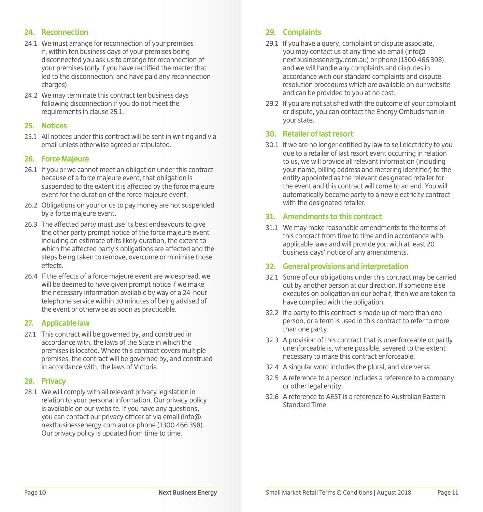# **24. Reconnection**

- 24.1 We must arrange for reconnection of your premises if, within ten business days of your premises being disconnected you ask us to arrange for reconnection of your premises (only if you have rectified the matter that led to the disconnection; and have paid any reconnection charges).
- 24.2 We may terminate this contract ten business days following disconnection if you do not meet the requirements in clause 25.1.

#### **25. Notices**

25.1 All notices under this contract will be sent in writing and via email unless otherwise agreed or stipulated.

# **26. Force Majeure**

- 26.1 If you or we cannot meet an obligation under this contract because of a force majeure event, that obligation is suspended to the extent it is affected by the force majeure event for the duration of the force majeure event.
- 26.2 Obligations on your or us to pay money are not suspended by a force majeure event.
- 26.3 The affected party must use its best endeavours to give the other party prompt notice of the force majeure event including an estimate of its likely duration, the extent to which the affected party's obligations are affected and the steps being taken to remove, overcome or minimise those effects.
- 26.4 If the effects of a force majeure event are widespread, we will be deemed to have given prompt notice if we make the necessary information available by way of a 24-hour telephone service within 30 minutes of being advised of the event or otherwise as soon as practicable.

# **27. Applicable law**

27.1 This contract will be governed by, and construed in accordance with, the laws of the State in which the premises is located. Where this contract covers multiple premises, the contract will be governed by, and construed in accordance with, the laws of Victoria.

#### **28. Privacy**

28.1 We will comply with all relevant privacy legislation in relation to your personal information. Our privacy policy is available on our website. If you have any questions, you can contact our privacy officer at via email (info@ nextbusinessenergy.com.au) or phone (1300 466 398). Our privacy policy is updated from time to time.

# **29. Complaints**

- 29.1 If you have a query, complaint or dispute associate, you may contact us at any time via email (info@ nextbusinessenergy.com.au) or phone (1300 466 398), and we will handle any complaints and disputes in accordance with our standard complaints and dispute resolution procedures which are available on our website and can be provided to you at no cost.
- 29.2 If you are not satisfied with the outcome of your complaint or dispute, you can contact the Energy Ombudsman in your state.

## **30. Retailer of last resort**

30.1 If we are no longer entitled by law to sell electricity to you due to a retailer of last resort event occurring in relation to us, we will provide all relevant information (including your name, billing address and metering identifier) to the entity appointed as the relevant designated retailer for the event and this contract will come to an end. You will automatically become party to a new electricity contract with the designated retailer.

## **31. Amendments to this contract**

31.1 We may make reasonable amendments to the terms of this contract from time to time and in accordance with applicable laws and will provide you with at least 20 business days' notice of any amendments.

#### **32. General provisions and interpretation**

- 32.1 Some of our obligations under this contract may be carried out by another person at our direction. If someone else executes on obligation on our behalf, then we are taken to have complied with the obligation.
- 32.2 If a party to this contract is made up of more than one person, or a term is used in this contract to refer to more than one party.
- 32.3 A provision of this contract that is unenforceable or partly unenforceable is, where possible, severed to the extent necessary to make this contract enforceable.
- 32.4 A singular word includes the plural, and vice versa.
- 32.5 A reference to a person includes a reference to a company or other legal entity.
- 32.6 A reference to AEST is a reference to Australian Eastern Standard Time.